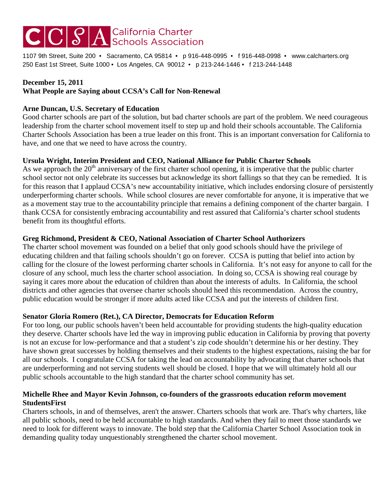# $|{\bf C}|{\bf C}|S|A$  Schools Association

1107 9th Street, Suite 200 • Sacramento, CA 95814 • p 916-448-0995 • f 916-448-0998 • www.calcharters.org 250 East 1st Street, Suite 1000 • Los Angeles, CA 90012 • p 213-244-1446 • f 213-244-1448

#### **December 15, 2011**

# **What People are Saying about CCSA's Call for Non-Renewal**

#### **Arne Duncan, U.S. Secretary of Education**

Good charter schools are part of the solution, but bad charter schools are part of the problem. We need courageous leadership from the charter school movement itself to step up and hold their schools accountable. The California Charter Schools Association has been a true leader on this front. This is an important conversation for California to have, and one that we need to have across the country.

## **Ursula Wright, Interim President and CEO, National Alliance for Public Charter Schools**

As we approach the  $20<sup>th</sup>$  anniversary of the first charter school opening, it is imperative that the public charter school sector not only celebrate its successes but acknowledge its short fallings so that they can be remedied. It is for this reason that I applaud CCSA's new accountability initiative, which includes endorsing closure of persistently underperforming charter schools. While school closures are never comfortable for anyone, it is imperative that we as a movement stay true to the accountability principle that remains a defining component of the charter bargain. I thank CCSA for consistently embracing accountability and rest assured that California's charter school students benefit from its thoughtful efforts.

#### **Greg Richmond, President & CEO, National Association of Charter School Authorizers**

The charter school movement was founded on a belief that only good schools should have the privilege of educating children and that failing schools shouldn't go on forever. CCSA is putting that belief into action by calling for the closure of the lowest performing charter schools in California. It's not easy for anyone to call for the closure of any school, much less the charter school association. In doing so, CCSA is showing real courage by saying it cares more about the education of children than about the interests of adults. In California, the school districts and other agencies that oversee charter schools should heed this recommendation. Across the country, public education would be stronger if more adults acted like CCSA and put the interests of children first.

## **Senator Gloria Romero (Ret.), CA Director, Democrats for Education Reform**

For too long, our public schools haven't been held accountable for providing students the high-quality education they deserve. Charter schools have led the way in improving public education in California by proving that poverty is not an excuse for low-performance and that a student's zip code shouldn't determine his or her destiny. They have shown great successes by holding themselves and their students to the highest expectations, raising the bar for all our schools. I congratulate CCSA for taking the lead on accountability by advocating that charter schools that are underperforming and not serving students well should be closed. I hope that we will ultimately hold all our public schools accountable to the high standard that the charter school community has set.

## **Michelle Rhee and Mayor Kevin Johnson, co-founders of the grassroots education reform movement StudentsFirst**

Charters schools, in and of themselves, aren't the answer. Charters schools that work are. That's why charters, like all public schools, need to be held accountable to high standards. And when they fail to meet those standards we need to look for different ways to innovate. The bold step that the California Charter School Association took in demanding quality today unquestionably strengthened the charter school movement.